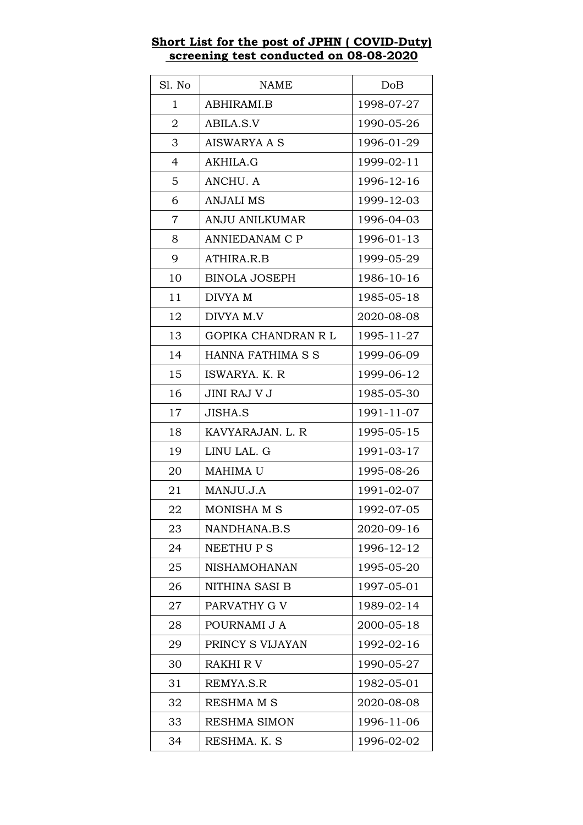## SI. No NAME NOB 1 | ABHIRAMI.B | 1998-07-27 2 | ABILA.S.V | 1990-05-26 3 | AISWARYA A S | 1996-01-29 4 AKHILA.G 1999-02-11 5 ANCHU. A 1996-12-16 6 | ANJALI MS | 1999-12-03 7 | ANJU ANILKUMAR | 1996-04-03 8 | ANNIEDANAM C P | 1996-01-13 9 | ATHIRA.R.B | 1999-05-29 10 | BINOLA JOSEPH 1986-10-16 11 | DIVYA M 1985-05-18 12 | DIVYA M.V | 2020-08-08 13 | GOPIKA CHANDRAN R L | 1995-11-27 14 | HANNA FATHIMA S S | 1999-06-09 15 | ISWARYA, K. R | 1999-06-12 16 JINI RAJ V J 1985-05-30 17 | JISHA.S | 1991-11-07 18 | KAVYARAJAN. L. R | 1995-05-15 19 | LINU LAL. G 1991-03-17 20 | MAHIMA U | 1995-08-26 21 | MANJU.J.A | 1991-02-07 22 | MONISHA M S | 1992-07-05 23 | NANDHANA.B.S | 2020-09-16 24 | NEETHU P S 1996-12-12 25 | NISHAMOHANAN | 1995-05-20 26 | NITHINA SASI B | 1997-05-01 27 | PARVATHY G V | 1989-02-14 28 POURNAMI J A 2000-05-18 29 | PRINCY S VIJAYAN | 1992-02-16 30 RAKHI R V 1990-05-27 31 | REMYA.S.R 1982-05-01 32 RESHMAM S 2020-08-08 33 RESHMA SIMON 1996-11-06

34 | RESHMA. K. S 1996-02-02

## **Short List for the post of JPHN ( COVID-Duty) screening test conducted on 08-08-2020**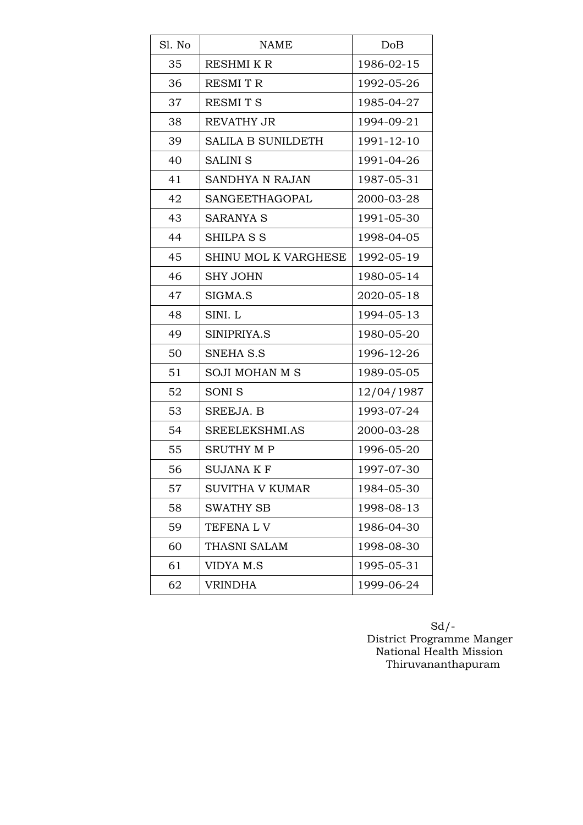| Sl. No | <b>NAME</b>               | DoB        |
|--------|---------------------------|------------|
| 35     | <b>RESHMIKR</b>           | 1986-02-15 |
| 36     | <b>RESMITR</b>            | 1992-05-26 |
| 37     | <b>RESMITS</b>            | 1985-04-27 |
| 38     | <b>REVATHY JR</b>         | 1994-09-21 |
| 39     | <b>SALILA B SUNILDETH</b> | 1991-12-10 |
| 40     | <b>SALINI S</b>           | 1991-04-26 |
| 41     | SANDHYA N RAJAN           | 1987-05-31 |
| 42     | SANGEETHAGOPAL            | 2000-03-28 |
| 43     | <b>SARANYA S</b>          | 1991-05-30 |
| 44     | <b>SHILPA S S</b>         | 1998-04-05 |
| 45     | SHINU MOL K VARGHESE      | 1992-05-19 |
| 46     | <b>SHY JOHN</b>           | 1980-05-14 |
| 47     | SIGMA.S                   | 2020-05-18 |
| 48     | SINI. L                   | 1994-05-13 |
| 49     | SINIPRIYA.S               | 1980-05-20 |
| 50     | <b>SNEHA S.S</b>          | 1996-12-26 |
| 51     | <b>SOJI MOHAN M S</b>     | 1989-05-05 |
| 52     | <b>SONIS</b>              | 12/04/1987 |
| 53     | SREEJA. B                 | 1993-07-24 |
| 54     | SREELEKSHMI.AS            | 2000-03-28 |
| 55     | <b>SRUTHY MP</b>          | 1996-05-20 |
| 56     | <b>SUJANA K F</b>         | 1997-07-30 |
| 57     | SUVITHA V KUMAR           | 1984-05-30 |
| 58     | <b>SWATHY SB</b>          | 1998-08-13 |
| 59     | <b>TEFENALV</b>           | 1986-04-30 |
| 60     | THASNI SALAM              | 1998-08-30 |
| 61     | VIDYA M.S                 | 1995-05-31 |
| 62     | <b>VRINDHA</b>            | 1999-06-24 |

 Sd/- District Programme Manger National Health Mission Thiruvananthapuram